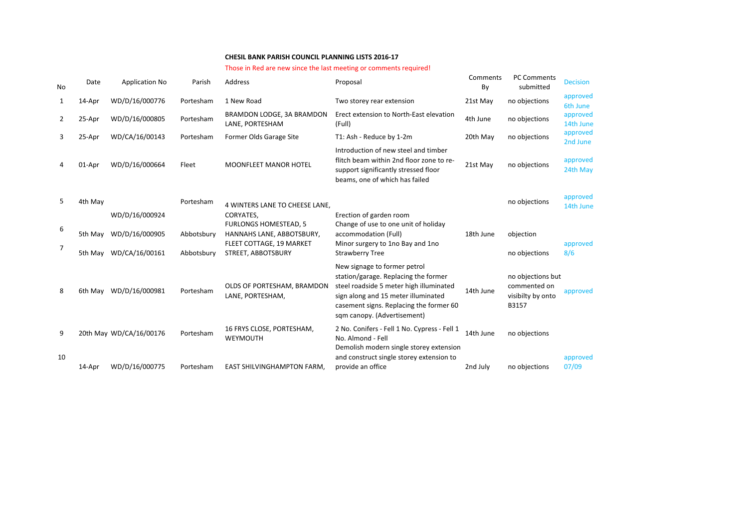## **CHESIL BANK PARISH COUNCIL PLANNING LISTS 2016-17**

## Those in Red are new since the last meeting or comments required!

| No           | Date    | <b>Application No</b>                                      | Parish                   | Address                                                                                                                  | Proposal                                                                                                                                                                                                                         | Comments<br>By | <b>PC Comments</b><br>submitted                                 | <b>Decision</b>       |
|--------------|---------|------------------------------------------------------------|--------------------------|--------------------------------------------------------------------------------------------------------------------------|----------------------------------------------------------------------------------------------------------------------------------------------------------------------------------------------------------------------------------|----------------|-----------------------------------------------------------------|-----------------------|
| $\mathbf{1}$ | 14-Apr  | WD/D/16/000776                                             | Portesham                | 1 New Road                                                                                                               | Two storey rear extension                                                                                                                                                                                                        | 21st May       | no objections                                                   | approved<br>6th June  |
| 2            | 25-Apr  | WD/D/16/000805                                             | Portesham                | BRAMDON LODGE, 3A BRAMDON<br>LANE, PORTESHAM                                                                             | Erect extension to North-East elevation<br>(Full)                                                                                                                                                                                | 4th June       | no objections                                                   | approved<br>14th June |
| 3            | 25-Apr  | WD/CA/16/00143                                             | Portesham                | Former Olds Garage Site                                                                                                  | T1: Ash - Reduce by 1-2m                                                                                                                                                                                                         | 20th May       | no objections                                                   | approved<br>2nd June  |
| 4            | 01-Apr  | WD/D/16/000664                                             | Fleet                    | <b>MOONFLEET MANOR HOTEL</b>                                                                                             | Introduction of new steel and timber<br>flitch beam within 2nd floor zone to re-<br>support significantly stressed floor<br>beams, one of which has failed                                                                       | 21st May       | no objections                                                   | approved<br>24th May  |
| 5            | 4th May |                                                            | Portesham                | 4 WINTERS LANE TO CHEESE LANE.                                                                                           |                                                                                                                                                                                                                                  |                | no objections                                                   | approved<br>14th June |
| 6<br>7       | 5th May | WD/D/16/000924<br>WD/D/16/000905<br>5th May WD/CA/16/00161 | Abbotsbury<br>Abbotsbury | CORYATES,<br><b>FURLONGS HOMESTEAD, 5</b><br>HANNAHS LANE, ABBOTSBURY,<br>FLEET COTTAGE, 19 MARKET<br>STREET, ABBOTSBURY | Erection of garden room<br>Change of use to one unit of holiday<br>accommodation (Full)<br>Minor surgery to 1no Bay and 1no<br><b>Strawberry Tree</b>                                                                            | 18th June      | objection<br>no objections                                      | approved<br>8/6       |
| 8            | 6th May | WD/D/16/000981                                             | Portesham                | OLDS OF PORTESHAM, BRAMDON<br>LANE, PORTESHAM,                                                                           | New signage to former petrol<br>station/garage. Replacing the former<br>steel roadside 5 meter high illuminated<br>sign along and 15 meter illuminated<br>casement signs. Replacing the former 60<br>sqm canopy. (Advertisement) | 14th June      | no objections but<br>commented on<br>visibilty by onto<br>B3157 | approved              |
| 9            |         | 20th May WD/CA/16/00176                                    | Portesham                | 16 FRYS CLOSE, PORTESHAM,<br>WEYMOUTH                                                                                    | 2 No. Conifers - Fell 1 No. Cypress - Fell 1<br>No. Almond - Fell<br>Demolish modern single storey extension                                                                                                                     | 14th June      | no objections                                                   |                       |
| 10           | 14-Apr  | WD/D/16/000775                                             | Portesham                | <b>EAST SHILVINGHAMPTON FARM.</b>                                                                                        | and construct single storey extension to<br>provide an office                                                                                                                                                                    | 2nd July       | no objections                                                   | approved<br>07/09     |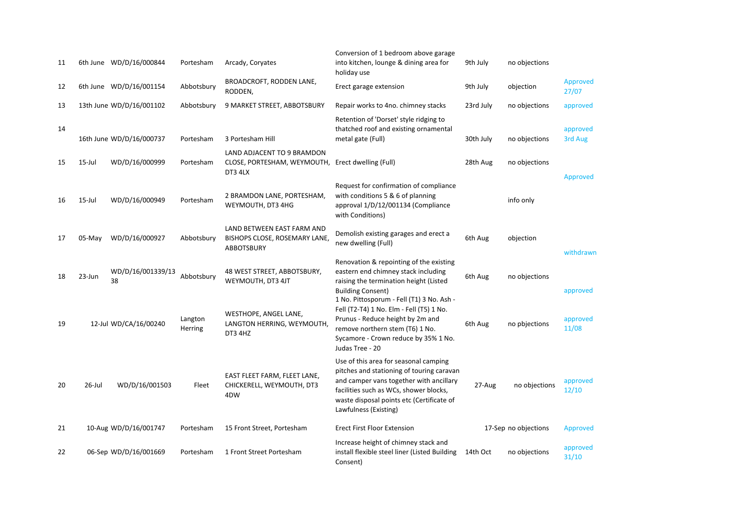| 11 |           | 6th June WD/D/16/000844  | Portesham          | Arcady, Coryates                                                          | Conversion of 1 bedroom above garage<br>into kitchen, lounge & dining area for<br>holiday use                                                                                                                                                 | 9th July  | no objections        |                          |
|----|-----------|--------------------------|--------------------|---------------------------------------------------------------------------|-----------------------------------------------------------------------------------------------------------------------------------------------------------------------------------------------------------------------------------------------|-----------|----------------------|--------------------------|
| 12 |           | 6th June WD/D/16/001154  | Abbotsbury         | BROADCROFT, RODDEN LANE,<br>RODDEN,                                       | Erect garage extension                                                                                                                                                                                                                        | 9th July  | objection            | <b>Approved</b><br>27/07 |
| 13 |           | 13th June WD/D/16/001102 | Abbotsbury         | 9 MARKET STREET, ABBOTSBURY                                               | Repair works to 4no. chimney stacks                                                                                                                                                                                                           | 23rd July | no objections        | approved                 |
| 14 |           | 16th June WD/D/16/000737 | Portesham          | 3 Portesham Hill                                                          | Retention of 'Dorset' style ridging to<br>thatched roof and existing ornamental<br>metal gate (Full)                                                                                                                                          | 30th July | no objections        | approved<br>3rd Aug      |
| 15 | $15$ -Jul | WD/D/16/000999           | Portesham          | LAND ADJACENT TO 9 BRAMDON<br>CLOSE, PORTESHAM, WEYMOUTH,<br>DT3 4LX      | Erect dwelling (Full)                                                                                                                                                                                                                         | 28th Aug  | no objections        | <b>Approved</b>          |
| 16 | 15-Jul    | WD/D/16/000949           | Portesham          | 2 BRAMDON LANE, PORTESHAM,<br>WEYMOUTH, DT3 4HG                           | Request for confirmation of compliance<br>with conditions 5 & 6 of planning<br>approval 1/D/12/001134 (Compliance<br>with Conditions)                                                                                                         |           | info only            |                          |
| 17 | $05$ -May | WD/D/16/000927           | Abbotsbury         | LAND BETWEEN EAST FARM AND<br>BISHOPS CLOSE, ROSEMARY LANE,<br>ABBOTSBURY | Demolish existing garages and erect a<br>new dwelling (Full)                                                                                                                                                                                  | 6th Aug   | objection            | withdrawn                |
| 18 | 23-Jun    | WD/D/16/001339/13<br>38  | Abbotsbury         | 48 WEST STREET, ABBOTSBURY,<br>WEYMOUTH, DT3 4JT                          | Renovation & repointing of the existing<br>eastern end chimney stack including<br>raising the termination height (Listed<br><b>Building Consent)</b>                                                                                          | 6th Aug   | no objections        | approved                 |
| 19 |           | 12-Jul WD/CA/16/00240    | Langton<br>Herring | WESTHOPE, ANGEL LANE,<br>LANGTON HERRING, WEYMOUTH,<br>DT3 4HZ            | 1 No. Pittosporum - Fell (T1) 3 No. Ash -<br>Fell (T2-T4) 1 No. Elm - Fell (T5) 1 No.<br>Prunus - Reduce height by 2m and<br>remove northern stem (T6) 1 No.<br>Sycamore - Crown reduce by 35% 1 No.<br>Judas Tree - 20                       | 6th Aug   | no pbjections        | approved<br>11/08        |
| 20 | 26-Jul    | WD/D/16/001503           | Fleet              | EAST FLEET FARM, FLEET LANE,<br>CHICKERELL, WEYMOUTH, DT3<br>4DW          | Use of this area for seasonal camping<br>pitches and stationing of touring caravan<br>and camper vans together with ancillary<br>facilities such as WCs, shower blocks,<br>waste disposal points etc (Certificate of<br>Lawfulness (Existing) | 27-Aug    | no objections        | approved<br>12/10        |
| 21 |           | 10-Aug WD/D/16/001747    | Portesham          | 15 Front Street, Portesham                                                | <b>Erect First Floor Extension</b>                                                                                                                                                                                                            |           | 17-Sep no objections | <b>Approved</b>          |
| 22 |           | 06-Sep WD/D/16/001669    | Portesham          | 1 Front Street Portesham                                                  | Increase height of chimney stack and<br>install flexible steel liner (Listed Building<br>Consent)                                                                                                                                             | 14th Oct  | no objections        | approved<br>31/10        |